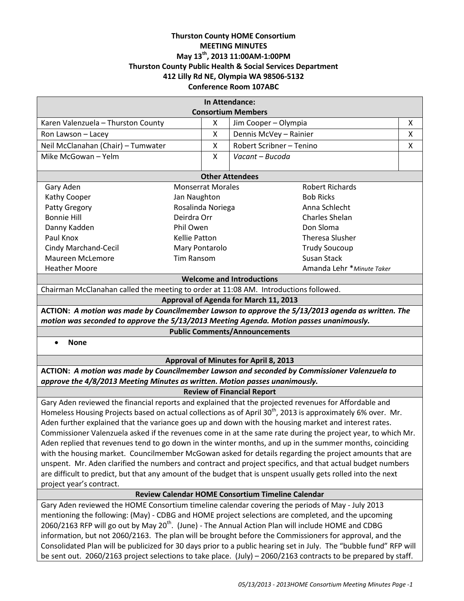# **Thurston County HOME Consortium MEETING MINUTES May 13th, 2013 11:00AM-1:00PM Thurston County Public Health & Social Services Department 412 Lilly Rd NE, Olympia WA 98506-5132 Conference Room 107ABC**

| In Attendance:                                                                                                          |                      |                      |                                                                                                                    |   |  |
|-------------------------------------------------------------------------------------------------------------------------|----------------------|----------------------|--------------------------------------------------------------------------------------------------------------------|---|--|
|                                                                                                                         |                      |                      | <b>Consortium Members</b>                                                                                          |   |  |
| Karen Valenzuela - Thurston County                                                                                      |                      | X                    | Jim Cooper - Olympia                                                                                               | Χ |  |
| Ron Lawson - Lacey                                                                                                      |                      | X                    | Dennis McVey - Rainier                                                                                             | Χ |  |
| Neil McClanahan (Chair) - Tumwater                                                                                      |                      | X                    | Robert Scribner - Tenino                                                                                           | X |  |
| Mike McGowan - Yelm                                                                                                     |                      | X                    | Vacant - Bucoda                                                                                                    |   |  |
| <b>Other Attendees</b>                                                                                                  |                      |                      |                                                                                                                    |   |  |
| Gary Aden<br><b>Monserrat Morales</b>                                                                                   |                      |                      | <b>Robert Richards</b>                                                                                             |   |  |
| Kathy Cooper<br>Jan Naughton                                                                                            |                      |                      | <b>Bob Ricks</b>                                                                                                   |   |  |
| Patty Gregory                                                                                                           | Rosalinda Noriega    |                      | Anna Schlecht                                                                                                      |   |  |
| <b>Bonnie Hill</b><br>Deirdra Orr                                                                                       |                      | Charles Shelan       |                                                                                                                    |   |  |
| Danny Kadden                                                                                                            | Phil Owen            |                      | Don Sloma                                                                                                          |   |  |
| Paul Knox                                                                                                               | <b>Kellie Patton</b> |                      | <b>Theresa Slusher</b>                                                                                             |   |  |
| Cindy Marchand-Cecil                                                                                                    | Mary Pontarolo       | <b>Trudy Soucoup</b> |                                                                                                                    |   |  |
| <b>Maureen McLemore</b><br><b>Tim Ransom</b>                                                                            |                      |                      | <b>Susan Stack</b>                                                                                                 |   |  |
| <b>Heather Moore</b>                                                                                                    |                      |                      | Amanda Lehr * Minute Taker                                                                                         |   |  |
| <b>Welcome and Introductions</b>                                                                                        |                      |                      |                                                                                                                    |   |  |
| Chairman McClanahan called the meeting to order at 11:08 AM. Introductions followed.                                    |                      |                      |                                                                                                                    |   |  |
| Approval of Agenda for March 11, 2013                                                                                   |                      |                      |                                                                                                                    |   |  |
| ACTION: A motion was made by Councilmember Lawson to approve the 5/13/2013 agenda as written. The                       |                      |                      |                                                                                                                    |   |  |
| motion was seconded to approve the 5/13/2013 Meeting Agenda. Motion passes unanimously.                                 |                      |                      |                                                                                                                    |   |  |
| <b>Public Comments/Announcements</b>                                                                                    |                      |                      |                                                                                                                    |   |  |
| <b>None</b>                                                                                                             |                      |                      |                                                                                                                    |   |  |
| <b>Approval of Minutes for April 8, 2013</b>                                                                            |                      |                      |                                                                                                                    |   |  |
| ACTION: A motion was made by Councilmember Lawson and seconded by Commissioner Valenzuela to                            |                      |                      |                                                                                                                    |   |  |
| approve the 4/8/2013 Meeting Minutes as written. Motion passes unanimously.                                             |                      |                      |                                                                                                                    |   |  |
| <b>Review of Financial Report</b>                                                                                       |                      |                      |                                                                                                                    |   |  |
| Gary Aden reviewed the financial reports and explained that the projected revenues for Affordable and                   |                      |                      |                                                                                                                    |   |  |
| Homeless Housing Projects based on actual collections as of April 30 <sup>th</sup> , 2013 is approximately 6% over. Mr. |                      |                      |                                                                                                                    |   |  |
| Aden further explained that the variance goes up and down with the housing market and interest rates.                   |                      |                      |                                                                                                                    |   |  |
| Commissioner Valenzuela asked if the revenues come in at the same rate during the project year, to which Mr.            |                      |                      |                                                                                                                    |   |  |
| Aden replied that revenues tend to go down in the winter months, and up in the summer months, coinciding                |                      |                      |                                                                                                                    |   |  |
| with the housing market. Councilmember McGowan asked for details regarding the project amounts that are                 |                      |                      |                                                                                                                    |   |  |
| unspent. Mr. Aden clarified the numbers and contract and project specifics, and that actual budget numbers              |                      |                      |                                                                                                                    |   |  |
| are difficult to predict, but that any amount of the budget that is unspent usually gets rolled into the next           |                      |                      |                                                                                                                    |   |  |
| project year's contract.                                                                                                |                      |                      |                                                                                                                    |   |  |
| Review Calendar HOME Consortium Timeline Calendar                                                                       |                      |                      |                                                                                                                    |   |  |
| Gary Aden reviewed the HOME Consortium timeline calendar covering the periods of May - July 2013                        |                      |                      |                                                                                                                    |   |  |
| mentioning the following: (May) - CDBG and HOME project selections are completed, and the upcoming                      |                      |                      |                                                                                                                    |   |  |
| 2060/2163 RFP will go out by May 20 <sup>th</sup> . (June) - The Annual Action Plan will include HOME and CDBG          |                      |                      |                                                                                                                    |   |  |
| information, but not 2060/2163. The plan will be brought before the Commissioners for approval, and the                 |                      |                      |                                                                                                                    |   |  |
|                                                                                                                         |                      |                      | Consolidated Plan will be publicized for 30 days prior to a public hearing set in July. The "bubble fund" RFP will |   |  |
| be sent out. 2060/2163 project selections to take place. (July) - 2060/2163 contracts to be prepared by staff.          |                      |                      |                                                                                                                    |   |  |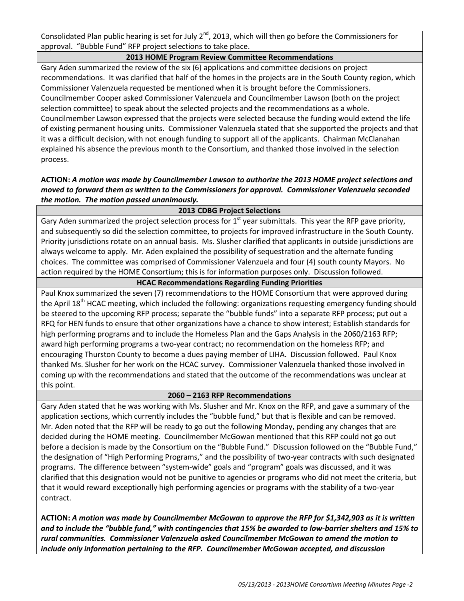Consolidated Plan public hearing is set for July  $2^{nd}$ , 2013, which will then go before the Commissioners for approval. "Bubble Fund" RFP project selections to take place.

## **2013 HOME Program Review Committee Recommendations**

Gary Aden summarized the review of the six (6) applications and committee decisions on project recommendations. It was clarified that half of the homes in the projects are in the South County region, which Commissioner Valenzuela requested be mentioned when it is brought before the Commissioners. Councilmember Cooper asked Commissioner Valenzuela and Councilmember Lawson (both on the project selection committee) to speak about the selected projects and the recommendations as a whole. Councilmember Lawson expressed that the projects were selected because the funding would extend the life of existing permanent housing units. Commissioner Valenzuela stated that she supported the projects and that it was a difficult decision, with not enough funding to support all of the applicants. Chairman McClanahan explained his absence the previous month to the Consortium, and thanked those involved in the selection process.

# **ACTION:** *A motion was made by Councilmember Lawson to authorize the 2013 HOME project selections and moved to forward them as written to the Commissioners for approval. Commissioner Valenzuela seconded the motion. The motion passed unanimously.*

# **2013 CDBG Project Selections**

Gary Aden summarized the project selection process for  $1<sup>st</sup>$  year submittals. This year the RFP gave priority, and subsequently so did the selection committee, to projects for improved infrastructure in the South County. Priority jurisdictions rotate on an annual basis. Ms. Slusher clarified that applicants in outside jurisdictions are always welcome to apply. Mr. Aden explained the possibility of sequestration and the alternate funding choices. The committee was comprised of Commissioner Valenzuela and four (4) south county Mayors. No action required by the HOME Consortium; this is for information purposes only. Discussion followed.

# **HCAC Recommendations Regarding Funding Priorities**

Paul Knox summarized the seven (7) recommendations to the HOME Consortium that were approved during the April 18<sup>th</sup> HCAC meeting, which included the following: organizations requesting emergency funding should be steered to the upcoming RFP process; separate the "bubble funds" into a separate RFP process; put out a RFQ for HEN funds to ensure that other organizations have a chance to show interest; Establish standards for high performing programs and to include the Homeless Plan and the Gaps Analysis in the 2060/2163 RFP; award high performing programs a two-year contract; no recommendation on the homeless RFP; and encouraging Thurston County to become a dues paying member of LIHA. Discussion followed. Paul Knox thanked Ms. Slusher for her work on the HCAC survey. Commissioner Valenzuela thanked those involved in coming up with the recommendations and stated that the outcome of the recommendations was unclear at this point.

### **2060 – 2163 RFP Recommendations**

Gary Aden stated that he was working with Ms. Slusher and Mr. Knox on the RFP, and gave a summary of the application sections, which currently includes the "bubble fund," but that is flexible and can be removed. Mr. Aden noted that the RFP will be ready to go out the following Monday, pending any changes that are decided during the HOME meeting. Councilmember McGowan mentioned that this RFP could not go out before a decision is made by the Consortium on the "Bubble Fund." Discussion followed on the "Bubble Fund," the designation of "High Performing Programs," and the possibility of two-year contracts with such designated programs. The difference between "system-wide" goals and "program" goals was discussed, and it was clarified that this designation would not be punitive to agencies or programs who did not meet the criteria, but that it would reward exceptionally high performing agencies or programs with the stability of a two-year contract.

**ACTION:** *A motion was made by Councilmember McGowan to approve the RFP for \$1,342,903 as it is written and to include the "bubble fund," with contingencies that 15% be awarded to low-barrier shelters and 15% to rural communities. Commissioner Valenzuela asked Councilmember McGowan to amend the motion to include only information pertaining to the RFP. Councilmember McGowan accepted, and discussion*